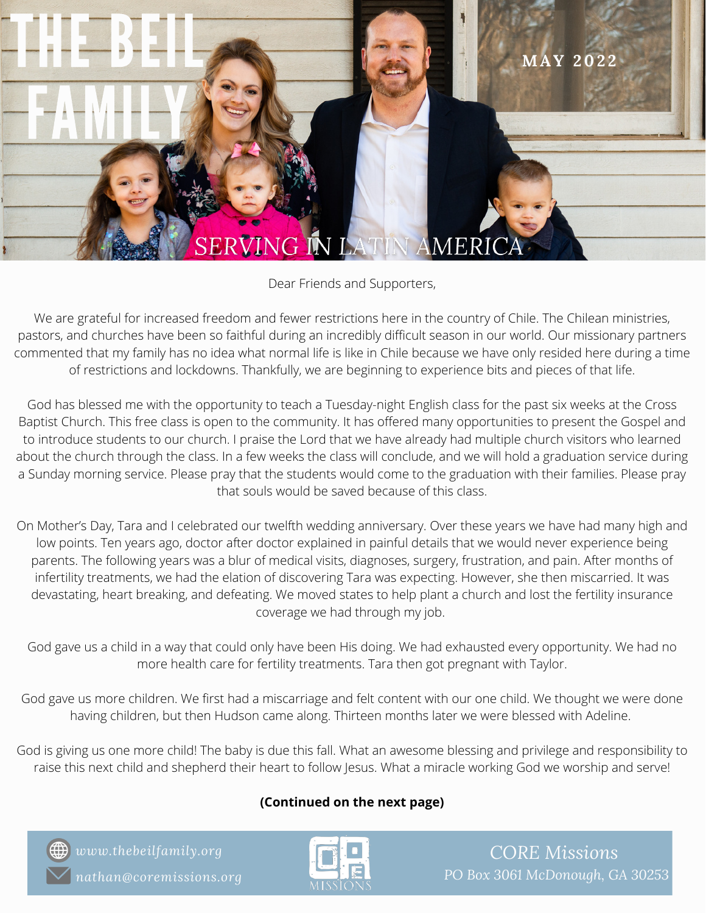

Dear Friends and Supporters,

We are grateful for increased freedom and fewer restrictions here in the country of Chile. The Chilean ministries, pastors, and churches have been so faithful during an incredibly difficult season in our world. Our missionary partners commented that my family has no idea what normal life is like in Chile because we have only resided here during a time of restrictions and lockdowns. Thankfully, we are beginning to experience bits and pieces of that life.

God has blessed me with the opportunity to teach a Tuesday-night English class for the past six weeks at the Cross Baptist Church. This free class is open to the community. It has offered many opportunities to present the Gospel and to introduce students to our church. I praise the Lord that we have already had multiple church visitors who learned about the church through the class. In a few weeks the class will conclude, and we will hold a graduation service during a Sunday morning service. Please pray that the students would come to the graduation with their families. Please pray that souls would be saved because of this class.

On Mother's Day, Tara and I celebrated our twelfth wedding anniversary. Over these years we have had many high and low points. Ten years ago, doctor after doctor explained in painful details that we would never experience being parents. The following years was a blur of medical visits, diagnoses, surgery, frustration, and pain. After months of infertility treatments, we had the elation of discovering Tara was expecting. However, she then miscarried. It was devastating, heart breaking, and defeating. We moved states to help plant a church and lost the fertility insurance coverage we had through my job.

God gave us a child in a way that could only have been His doing. We had exhausted every opportunity. We had no more health care for fertility treatments. Tara then got pregnant with Taylor.

God gave us more children. We first had a miscarriage and felt content with our one child. We thought we were done having children, but then Hudson came along. Thirteen months later we were blessed with Adeline.

God is giving us one more child! The baby is due this fall. What an awesome blessing and privilege and responsibility to raise this next child and shepherd their heart to follow Jesus. What a miracle working God we worship and serve!

## **(Continued on the next page)**